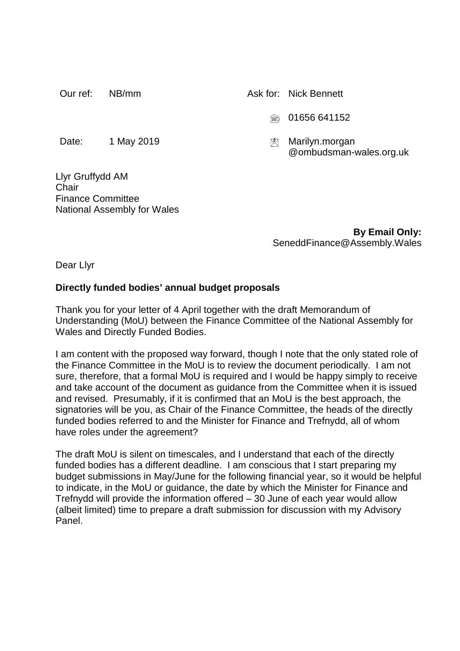Our ref: NB/mm Ask for: Nick Bennett

- 01656 641152
- @ombudsman-wales.org.uk

Date: 1 May 2019 Marilyn.morgan

Llyr Gruffydd AM **Chair** Finance Committee National Assembly for Wales

> **By Email Only:** SeneddFinance@Assembly.Wales

Dear Llyr

## **Directly funded bodies' annual budget proposals**

Thank you for your letter of 4 April together with the draft Memorandum of Understanding (MoU) between the Finance Committee of the National Assembly for Wales and Directly Funded Bodies.

I am content with the proposed way forward, though I note that the only stated role of the Finance Committee in the MoU is to review the document periodically. I am not sure, therefore, that a formal MoU is required and I would be happy simply to receive and take account of the document as guidance from the Committee when it is issued and revised. Presumably, if it is confirmed that an MoU is the best approach, the signatories will be you, as Chair of the Finance Committee, the heads of the directly funded bodies referred to and the Minister for Finance and Trefnydd, all of whom have roles under the agreement?

The draft MoU is silent on timescales, and I understand that each of the directly funded bodies has a different deadline. I am conscious that I start preparing my budget submissions in May/June for the following financial year, so it would be helpful to indicate, in the MoU or guidance, the date by which the Minister for Finance and Trefnydd will provide the information offered – 30 June of each year would allow (albeit limited) time to prepare a draft submission for discussion with my Advisory Panel.